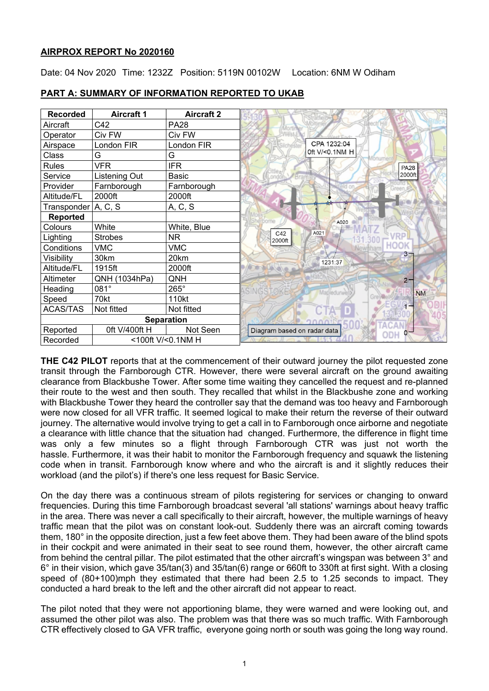# **AIRPROX REPORT No 2020160**

Date: 04 Nov 2020 Time: 1232Z Position: 5119N 00102W Location: 6NM W Odiham

| <b>Recorded</b>       | <b>Aircraft 1</b> | <b>Aircraft 2</b> |                                                        |
|-----------------------|-------------------|-------------------|--------------------------------------------------------|
| Aircraft              | C42               | <b>PA28</b>       | /Mortir                                                |
| Operator              | Civ FW            | Civ FW            |                                                        |
| Airspace              | London FIR        | London FIR        | CPA 1232:04                                            |
| Class                 | G                 | G                 | Oft V/<0.1NM H                                         |
| Rules                 | <b>VFR</b>        | <b>IFR</b>        | <b>PA28</b>                                            |
| Service               | Listening Out     | Basic             | 2000ft                                                 |
| Provider              | Farnborough       | Farnborough       |                                                        |
| Altitude/FL           | 2000ft            | 2000ft            |                                                        |
| Transponder   A, C, S |                   | A, C, S           |                                                        |
| <b>Reported</b>       |                   |                   | A020                                                   |
| Colours               | White             | White, Blue       |                                                        |
| Lighting              | <b>Strobes</b>    | NR.               | A021<br>C42<br>2000ft                                  |
| Conditions            | <b>VMC</b>        | <b>VMC</b>        | <b>HOOK</b>                                            |
| Visibility            | 30km              | 20km              | 3−<br>1231:37                                          |
| Altitude/FL           | 1915ft            | 2000ft            |                                                        |
| Altimeter             | QNH (1034hPa)     | QNH               | $2 -$                                                  |
| Heading               | 081°              | 265°              | Mapledurwell)<br><b>NM</b>                             |
| Speed                 | 70kt              | 110kt             |                                                        |
| <b>ACAS/TAS</b>       | Not fitted        | Not fitted        |                                                        |
| <b>Separation</b>     |                   |                   |                                                        |
| Reported              | 0ft V/400ft H     | Not Seen          | <b>ACA</b><br>Diagram based on radar data<br>0-<br>ODH |
| Recorded              | <100ft V/<0.1NM H |                   |                                                        |

# **PART A: SUMMARY OF INFORMATION REPORTED TO UKAB**

**THE C42 PILOT** reports that at the commencement of their outward journey the pilot requested zone transit through the Farnborough CTR. However, there were several aircraft on the ground awaiting clearance from Blackbushe Tower. After some time waiting they cancelled the request and re-planned their route to the west and then south. They recalled that whilst in the Blackbushe zone and working with Blackbushe Tower they heard the controller say that the demand was too heavy and Farnborough were now closed for all VFR traffic. It seemed logical to make their return the reverse of their outward journey. The alternative would involve trying to get a call in to Farnborough once airborne and negotiate a clearance with little chance that the situation had changed. Furthermore, the difference in flight time was only a few minutes so a flight through Farnborough CTR was just not worth the hassle. Furthermore, it was their habit to monitor the Farnborough frequency and squawk the listening code when in transit. Farnborough know where and who the aircraft is and it slightly reduces their workload (and the pilot's) if there's one less request for Basic Service.

On the day there was a continuous stream of pilots registering for services or changing to onward frequencies. During this time Farnborough broadcast several 'all stations' warnings about heavy traffic in the area. There was never a call specifically to their aircraft, however, the multiple warnings of heavy traffic mean that the pilot was on constant look-out. Suddenly there was an aircraft coming towards them, 180° in the opposite direction, just a few feet above them. They had been aware of the blind spots in their cockpit and were animated in their seat to see round them, however, the other aircraft came from behind the central pillar. The pilot estimated that the other aircraft's wingspan was between 3° and 6° in their vision, which gave 35/tan(3) and 35/tan(6) range or 660ft to 330ft at first sight. With a closing speed of (80+100)mph they estimated that there had been 2.5 to 1.25 seconds to impact. They conducted a hard break to the left and the other aircraft did not appear to react.

The pilot noted that they were not apportioning blame, they were warned and were looking out, and assumed the other pilot was also. The problem was that there was so much traffic. With Farnborough CTR effectively closed to GA VFR traffic, everyone going north or south was going the long way round.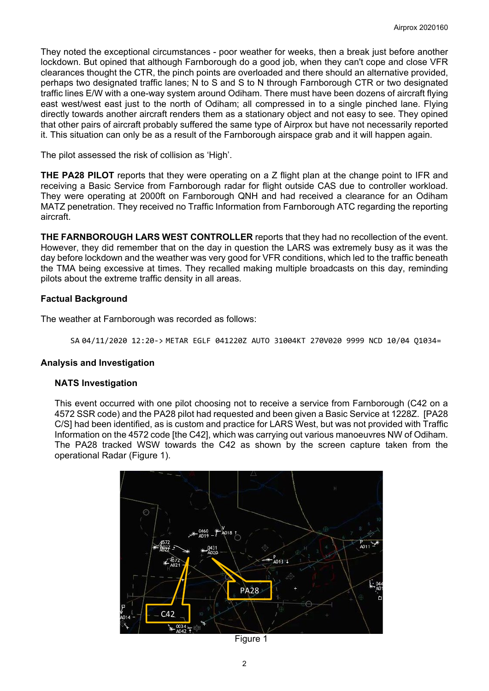They noted the exceptional circumstances - poor weather for weeks, then a break just before another lockdown. But opined that although Farnborough do a good job, when they can't cope and close VFR clearances thought the CTR, the pinch points are overloaded and there should an alternative provided, perhaps two designated traffic lanes; N to S and S to N through Farnborough CTR or two designated traffic lines E/W with a one-way system around Odiham. There must have been dozens of aircraft flying east west/west east just to the north of Odiham; all compressed in to a single pinched lane. Flying directly towards another aircraft renders them as a stationary object and not easy to see. They opined that other pairs of aircraft probably suffered the same type of Airprox but have not necessarily reported it. This situation can only be as a result of the Farnborough airspace grab and it will happen again.

The pilot assessed the risk of collision as 'High'.

**THE PA28 PILOT** reports that they were operating on a Z flight plan at the change point to IFR and receiving a Basic Service from Farnborough radar for flight outside CAS due to controller workload. They were operating at 2000ft on Farnborough QNH and had received a clearance for an Odiham MATZ penetration. They received no Traffic Information from Farnborough ATC regarding the reporting aircraft.

**THE FARNBOROUGH LARS WEST CONTROLLER** reports that they had no recollection of the event. However, they did remember that on the day in question the LARS was extremely busy as it was the day before lockdown and the weather was very good for VFR conditions, which led to the traffic beneath the TMA being excessive at times. They recalled making multiple broadcasts on this day, reminding pilots about the extreme traffic density in all areas.

# **Factual Background**

The weather at Farnborough was recorded as follows:

SA 04/11/2020 12:20-> METAR EGLF 041220Z AUTO 31004KT 270V020 9999 NCD 10/04 Q1034=

# **Analysis and Investigation**

# **NATS Investigation**

This event occurred with one pilot choosing not to receive a service from Farnborough (C42 on a 4572 SSR code) and the PA28 pilot had requested and been given a Basic Service at 1228Z. [PA28 C/S] had been identified, as is custom and practice for LARS West, but was not provided with Traffic Information on the 4572 code [the C42], which was carrying out various manoeuvres NW of Odiham. The PA28 tracked WSW towards the C42 as shown by the screen capture taken from the operational Radar (Figure 1).



Figure 1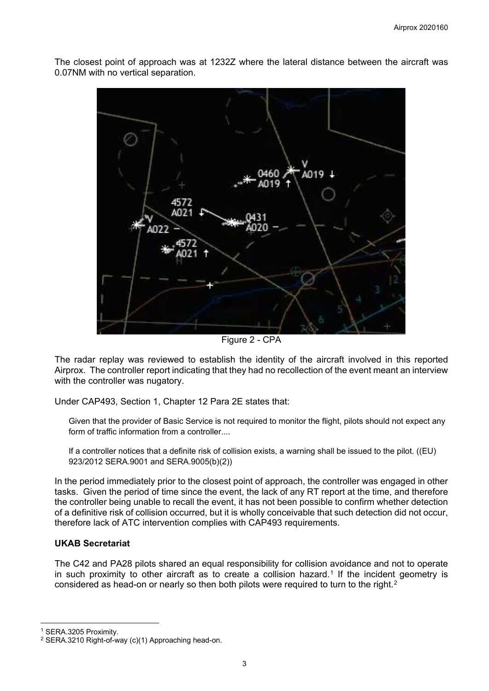The closest point of approach was at 1232Z where the lateral distance between the aircraft was 0.07NM with no vertical separation.



Figure 2 - CPA

The radar replay was reviewed to establish the identity of the aircraft involved in this reported Airprox. The controller report indicating that they had no recollection of the event meant an interview with the controller was nugatory.

Under CAP493, Section 1, Chapter 12 Para 2E states that:

Given that the provider of Basic Service is not required to monitor the flight, pilots should not expect any form of traffic information from a controller....

If a controller notices that a definite risk of collision exists, a warning shall be issued to the pilot. ((EU) 923/2012 SERA.9001 and SERA.9005(b)(2))

In the period immediately prior to the closest point of approach, the controller was engaged in other tasks. Given the period of time since the event, the lack of any RT report at the time, and therefore the controller being unable to recall the event, it has not been possible to confirm whether detection of a definitive risk of collision occurred, but it is wholly conceivable that such detection did not occur, therefore lack of ATC intervention complies with CAP493 requirements.

# **UKAB Secretariat**

The C42 and PA28 pilots shared an equal responsibility for collision avoidance and not to operate in such proximity to other aircraft as to create a collision hazard.<sup>[1](#page-2-0)</sup> If the incident geometry is considered as head-on or nearly so then both pilots were required to turn to the right.<sup>[2](#page-2-1)</sup>

<span id="page-2-0"></span><sup>1</sup> SERA.3205 Proximity.

<span id="page-2-1"></span><sup>2</sup> SERA.3210 Right-of-way (c)(1) Approaching head-on.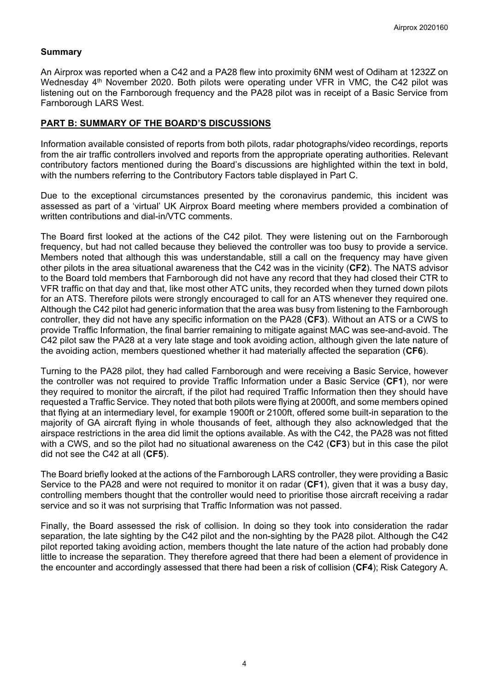# **Summary**

An Airprox was reported when a C42 and a PA28 flew into proximity 6NM west of Odiham at 1232Z on Wednesday 4<sup>th</sup> November 2020. Both pilots were operating under VFR in VMC, the C42 pilot was listening out on the Farnborough frequency and the PA28 pilot was in receipt of a Basic Service from Farnborough LARS West.

## **PART B: SUMMARY OF THE BOARD'S DISCUSSIONS**

Information available consisted of reports from both pilots, radar photographs/video recordings, reports from the air traffic controllers involved and reports from the appropriate operating authorities. Relevant contributory factors mentioned during the Board's discussions are highlighted within the text in bold, with the numbers referring to the Contributory Factors table displayed in Part C.

Due to the exceptional circumstances presented by the coronavirus pandemic, this incident was assessed as part of a 'virtual' UK Airprox Board meeting where members provided a combination of written contributions and dial-in/VTC comments.

The Board first looked at the actions of the C42 pilot. They were listening out on the Farnborough frequency, but had not called because they believed the controller was too busy to provide a service. Members noted that although this was understandable, still a call on the frequency may have given other pilots in the area situational awareness that the C42 was in the vicinity (**CF2**). The NATS advisor to the Board told members that Farnborough did not have any record that they had closed their CTR to VFR traffic on that day and that, like most other ATC units, they recorded when they turned down pilots for an ATS. Therefore pilots were strongly encouraged to call for an ATS whenever they required one. Although the C42 pilot had generic information that the area was busy from listening to the Farnborough controller, they did not have any specific information on the PA28 (**CF3**). Without an ATS or a CWS to provide Traffic Information, the final barrier remaining to mitigate against MAC was see-and-avoid. The C42 pilot saw the PA28 at a very late stage and took avoiding action, although given the late nature of the avoiding action, members questioned whether it had materially affected the separation (**CF6**).

Turning to the PA28 pilot, they had called Farnborough and were receiving a Basic Service, however the controller was not required to provide Traffic Information under a Basic Service (**CF1**), nor were they required to monitor the aircraft, if the pilot had required Traffic Information then they should have requested a Traffic Service. They noted that both pilots were flying at 2000ft, and some members opined that flying at an intermediary level, for example 1900ft or 2100ft, offered some built-in separation to the majority of GA aircraft flying in whole thousands of feet, although they also acknowledged that the airspace restrictions in the area did limit the options available. As with the C42, the PA28 was not fitted with a CWS, and so the pilot had no situational awareness on the C42 (**CF3**) but in this case the pilot did not see the C42 at all (**CF5**).

The Board briefly looked at the actions of the Farnborough LARS controller, they were providing a Basic Service to the PA28 and were not required to monitor it on radar (**CF1**), given that it was a busy day, controlling members thought that the controller would need to prioritise those aircraft receiving a radar service and so it was not surprising that Traffic Information was not passed.

Finally, the Board assessed the risk of collision. In doing so they took into consideration the radar separation, the late sighting by the C42 pilot and the non-sighting by the PA28 pilot. Although the C42 pilot reported taking avoiding action, members thought the late nature of the action had probably done little to increase the separation. They therefore agreed that there had been a element of providence in the encounter and accordingly assessed that there had been a risk of collision (**CF4**); Risk Category A.